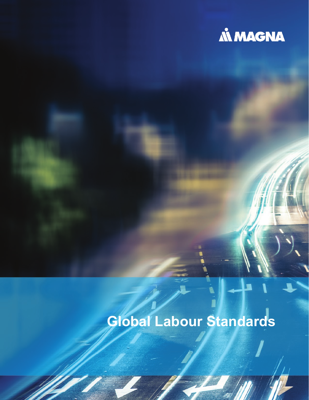

# **Global Labour Standards**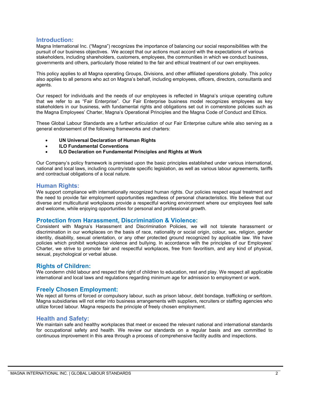#### **Introduction:**

Magna International Inc. ("Magna") recognizes the importance of balancing our social responsibilities with the pursuit of our business objectives. We accept that our actions must accord with the expectations of various stakeholders, including shareholders, customers, employees, the communities in which we conduct business, governments and others, particularly those related to the fair and ethical treatment of our own employees.

This policy applies to all Magna operating Groups, Divisions, and other affiliated operations globally. This policy also applies to all persons who act on Magna's behalf, including employees, officers, directors, consultants and agents.

Our respect for individuals and the needs of our employees is reflected in Magna's unique operating culture that we refer to as "Fair Enterprise". Our Fair Enterprise business model recognizes employees as key stakeholders in our business, with fundamental rights and obligations set out in cornerstone policies such as the Magna Employees' Charter, Magna's Operational Principles and the Magna Code of Conduct and Ethics.

These Global Labour Standards are a further articulation of our Fair Enterprise culture while also serving as a general endorsement of the following frameworks and charters:

- **UN Universal Declaration of Human Rights**
- **ILO Fundamental Conventions**
- **ILO Declaration on Fundamental Principles and Rights at Work**

Our Company's policy framework is premised upon the basic principles established under various international, national and local laws, including country/state specific legislation, as well as various labour agreements, tariffs and contractual obligations of a local nature.

#### **Human Rights:**

We support compliance with internationally recognized human rights. Our policies respect equal treatment and the need to provide fair employment opportunities regardless of personal characteristics. We believe that our diverse and multicultural workplaces provide a respectful working environment where our employees feel safe and welcome, while enjoying opportunities for personal and professional growth.

#### **Protection from Harassment, Discrimination & Violence:**

Consistent with Magna's Harassment and Discrimination Policies, we will not tolerate harassment or discrimination in our workplaces on the basis of race, nationality or social origin, colour, sex, religion, gender identity, disability, sexual orientation, or any other protected ground recognized by applicable law. We have policies which prohibit workplace violence and bullying. In accordance with the principles of our Employees' Charter, we strive to promote fair and respectful workplaces, free from favoritism, and any kind of physical, sexual, psychological or verbal abuse.

#### **Rights of Children:**

We condemn child labour and respect the right of children to education, rest and play. We respect all applicable international and local laws and regulations regarding minimum age for admission to employment or work.

#### **Freely Chosen Employment:**

We reject all forms of forced or compulsory labour, such as prison labour, debt bondage, trafficking or serfdom. Magna subsidiaries will not enter into business arrangements with suppliers, recruiters or staffing agencies who utilize forced labour. Magna respects the principle of freely chosen employment.

#### **Health and Safety:**

We maintain safe and healthy workplaces that meet or exceed the relevant national and international standards for occupational safety and health. We review our standards on a regular basis and are committed to continuous improvement in this area through a process of comprehensive facility audits and inspections.